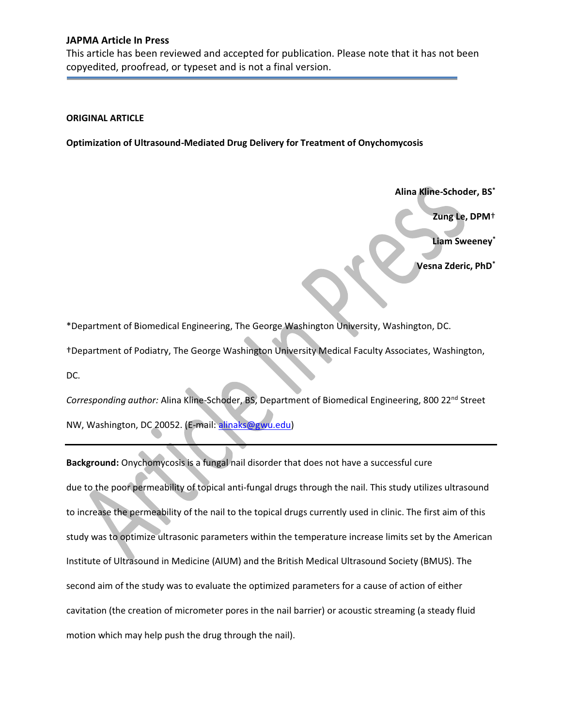This article has been reviewed and accepted for publication. Please note that it has not been copyedited, proofread, or typeset and is not a final version.

#### **ORIGINAL ARTICLE**

**Optimization of Ultrasound-Mediated Drug Delivery for Treatment of Onychomycosis** 

**Alina Kline-Schoder, BS\*** 

**Zung Le, DPM**<sup>+</sup>

**Liam Sweeney\*** 

**Vesna Zderic, PhD\*** 

\*Department of Biomedical Engineering, The George Washington University, Washington, DC.

ΏDepartment of Podiatry, The George Washington University Medical Faculty Associates, Washington,

DC.

*Corresponding author:* Alina Kline-Schoder, BS, Department of Biomedical Engineering, 800 22nd Street NW, Washington, DC 20052. (E-mail: alinaks@gwu.edu)

**Background:** Onychomycosis is a fungal nail disorder that does not have a successful cure due to the poor permeability of topical anti-fungal drugs through the nail. This study utilizes ultrasound to increase the permeability of the nail to the topical drugs currently used in clinic. The first aim of this study was to optimize ultrasonic parameters within the temperature increase limits set by the American Institute of Ultrasound in Medicine (AIUM) and the British Medical Ultrasound Society (BMUS). The second aim of the study was to evaluate the optimized parameters for a cause of action of either cavitation (the creation of micrometer pores in the nail barrier) or acoustic streaming (a steady fluid motion which may help push the drug through the nail).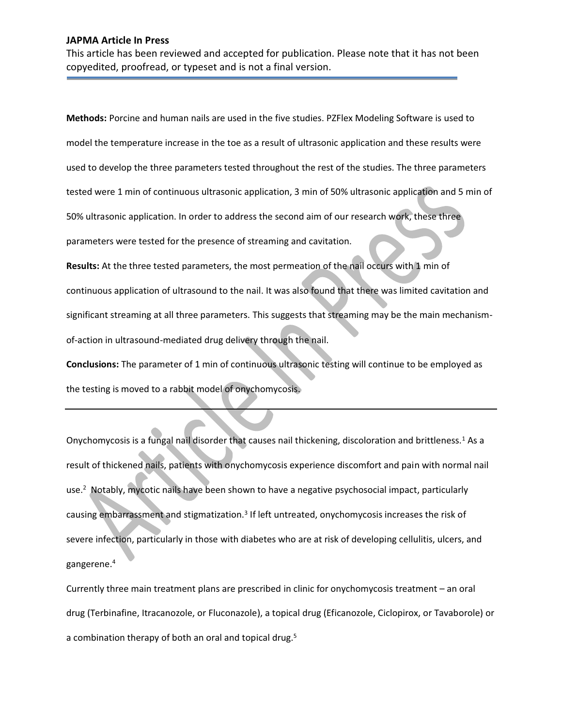This article has been reviewed and accepted for publication. Please note that it has not been copyedited, proofread, or typeset and is not a final version.

**Methods:** Porcine and human nails are used in the five studies. PZFlex Modeling Software is used to model the temperature increase in the toe as a result of ultrasonic application and these results were used to develop the three parameters tested throughout the rest of the studies. The three parameters tested were 1 min of continuous ultrasonic application, 3 min of 50% ultrasonic application and 5 min of 50% ultrasonic application. In order to address the second aim of our research work, these three parameters were tested for the presence of streaming and cavitation.

**Results:** At the three tested parameters, the most permeation of the nail occurs with 1 min of continuous application of ultrasound to the nail. It was also found that there was limited cavitation and significant streaming at all three parameters. This suggests that streaming may be the main mechanismof-action in ultrasound-mediated drug delivery through the nail.

**Conclusions:** The parameter of 1 min of continuous ultrasonic testing will continue to be employed as the testing is moved to a rabbit model of onychomycosis.

Onychomycosis is a fungal nail disorder that causes nail thickening, discoloration and brittleness.<sup>1</sup> As a result of thickened nails, patients with onychomycosis experience discomfort and pain with normal nail use.<sup>2</sup> Notably, mycotic nails have been shown to have a negative psychosocial impact, particularly causing embarrassment and stigmatization.<sup>3</sup> If left untreated, onychomycosis increases the risk of severe infection, particularly in those with diabetes who are at risk of developing cellulitis, ulcers, and gangerene.4

Currently three main treatment plans are prescribed in clinic for onychomycosis treatment – an oral drug (Terbinafine, Itracanozole, or Fluconazole), a topical drug (Eficanozole, Ciclopirox, or Tavaborole) or a combination therapy of both an oral and topical drug.<sup>5</sup>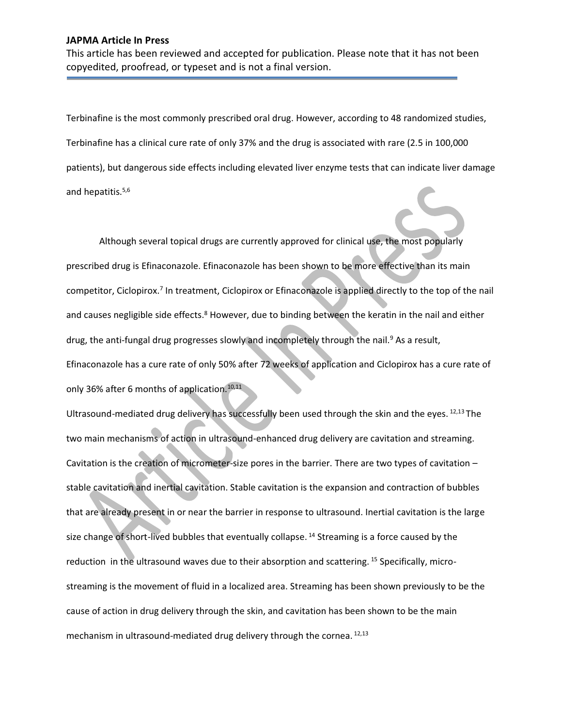This article has been reviewed and accepted for publication. Please note that it has not been copyedited, proofread, or typeset and is not a final version.

Terbinafine is the most commonly prescribed oral drug. However, according to 48 randomized studies, Terbinafine has a clinical cure rate of only 37% and the drug is associated with rare (2.5 in 100,000 patients), but dangerous side effects including elevated liver enzyme tests that can indicate liver damage and hepatitis.<sup>5,6</sup>

Although several topical drugs are currently approved for clinical use, the most popularly prescribed drug is Efinaconazole. Efinaconazole has been shown to be more effective than its main competitor, Ciclopirox.7 In treatment, Ciclopirox or Efinaconazole is applied directly to the top of the nail and causes negligible side effects.<sup>8</sup> However, due to binding between the keratin in the nail and either drug, the anti-fungal drug progresses slowly and incompletely through the nail.<sup>9</sup> As a result, Efinaconazole has a cure rate of only 50% after 72 weeks of application and Ciclopirox has a cure rate of only 36% after 6 months of application.<sup>10,11</sup>

Ultrasound-mediated drug delivery has successfully been used through the skin and the eyes. 12,13 The two main mechanisms of action in ultrasound-enhanced drug delivery are cavitation and streaming. Cavitation is the creation of micrometer-size pores in the barrier. There are two types of cavitation  $$ stable cavitation and inertial cavitation. Stable cavitation is the expansion and contraction of bubbles that are already present in or near the barrier in response to ultrasound. Inertial cavitation is the large size change of short-lived bubbles that eventually collapse.<sup>14</sup> Streaming is a force caused by the reduction in the ultrasound waves due to their absorption and scattering. <sup>15</sup> Specifically, microstreaming is the movement of fluid in a localized area. Streaming has been shown previously to be the cause of action in drug delivery through the skin, and cavitation has been shown to be the main mechanism in ultrasound-mediated drug delivery through the cornea. 12,13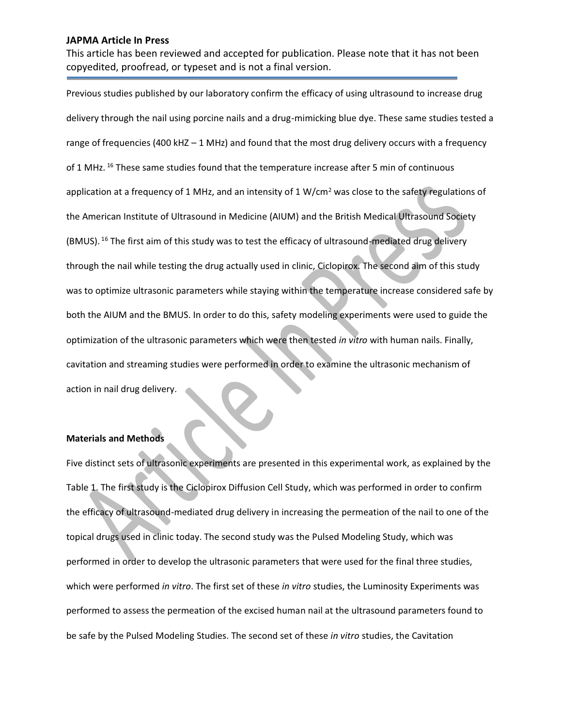This article has been reviewed and accepted for publication. Please note that it has not been copyedited, proofread, or typeset and is not a final version.

Previous studies published by our laboratory confirm the efficacy of using ultrasound to increase drug delivery through the nail using porcine nails and a drug-mimicking blue dye. These same studies tested a range of frequencies (400 kHZ  $-1$  MHz) and found that the most drug delivery occurs with a frequency of 1 MHz. <sup>16</sup> These same studies found that the temperature increase after 5 min of continuous application at a frequency of 1 MHz, and an intensity of 1 W/cm<sup>2</sup> was close to the safety regulations of the American Institute of Ultrasound in Medicine (AIUM) and the British Medical Ultrasound Society (BMUS). 16 The first aim of this study was to test the efficacy of ultrasound-mediated drug delivery through the nail while testing the drug actually used in clinic, Ciclopirox. The second aim of this study was to optimize ultrasonic parameters while staying within the temperature increase considered safe by both the AIUM and the BMUS. In order to do this, safety modeling experiments were used to guide the optimization of the ultrasonic parameters which were then tested *in vitro* with human nails. Finally, cavitation and streaming studies were performed in order to examine the ultrasonic mechanism of action in nail drug delivery.

#### **Materials and Methods**

Five distinct sets of ultrasonic experiments are presented in this experimental work, as explained by the Table 1. The first study is the Ciclopirox Diffusion Cell Study, which was performed in order to confirm the efficacy of ultrasound-mediated drug delivery in increasing the permeation of the nail to one of the topical drugs used in clinic today. The second study was the Pulsed Modeling Study, which was performed in order to develop the ultrasonic parameters that were used for the final three studies, which were performed *in vitro*. The first set of these *in vitro* studies, the Luminosity Experiments was performed to assess the permeation of the excised human nail at the ultrasound parameters found to be safe by the Pulsed Modeling Studies. The second set of these *in vitro* studies, the Cavitation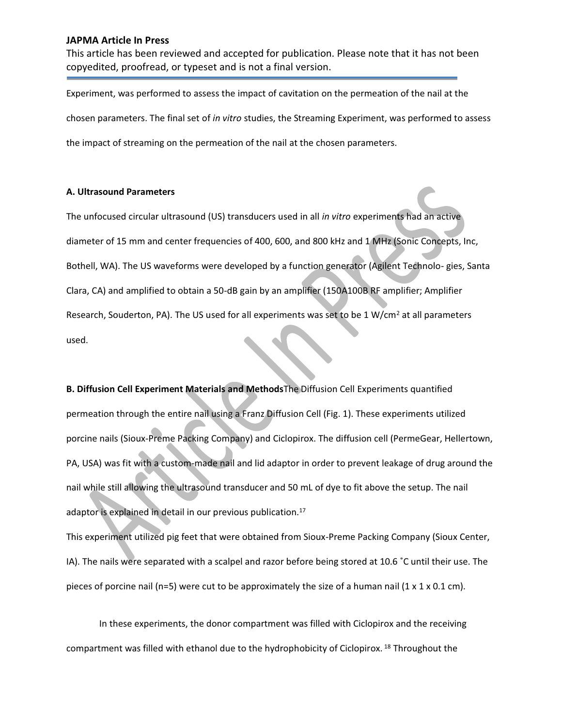This article has been reviewed and accepted for publication. Please note that it has not been copyedited, proofread, or typeset and is not a final version.

Experiment, was performed to assess the impact of cavitation on the permeation of the nail at the chosen parameters. The final set of *in vitro* studies, the Streaming Experiment, was performed to assess the impact of streaming on the permeation of the nail at the chosen parameters.

## **A. Ultrasound Parameters**

The unfocused circular ultrasound (US) transducers used in all *in vitro* experiments had an active diameter of 15 mm and center frequencies of 400, 600, and 800 kHz and 1 MHz (Sonic Concepts, Inc, Bothell, WA). The US waveforms were developed by a function generator (Agilent Technolo- gies, Santa Clara, CA) and amplified to obtain a 50-dB gain by an amplifier (150A100B RF amplifier; Amplifier Research, Souderton, PA). The US used for all experiments was set to be 1 W/cm<sup>2</sup> at all parameters used.

**B. Diffusion Cell Experiment Materials and Methods**The Diffusion Cell Experiments quantified permeation through the entire nail using a Franz Diffusion Cell (Fig. 1). These experiments utilized porcine nails (Sioux-Preme Packing Company) and Ciclopirox. The diffusion cell (PermeGear, Hellertown, PA, USA) was fit with a custom-made nail and lid adaptor in order to prevent leakage of drug around the nail while still allowing the ultrasound transducer and 50 mL of dye to fit above the setup. The nail adaptor is explained in detail in our previous publication.<sup>17</sup>

This experiment utilized pig feet that were obtained from Sioux-Preme Packing Company (Sioux Center, IA). The nails were separated with a scalpel and razor before being stored at 10.6 °C until their use. The pieces of porcine nail (n=5) were cut to be approximately the size of a human nail (1 x 1 x 0.1 cm).

In these experiments, the donor compartment was filled with Ciclopirox and the receiving compartment was filled with ethanol due to the hydrophobicity of Ciclopirox. 18 Throughout the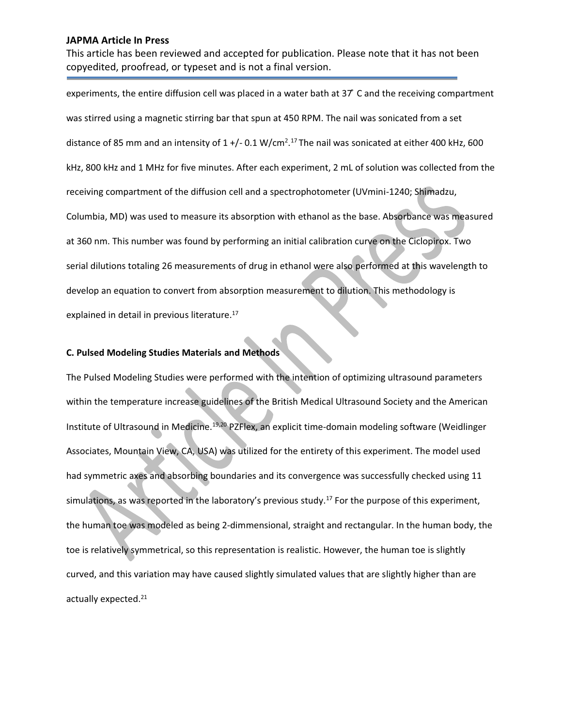This article has been reviewed and accepted for publication. Please note that it has not been copyedited, proofread, or typeset and is not a final version.

experiments, the entire diffusion cell was placed in a water bath at  $37$  C and the receiving compartment was stirred using a magnetic stirring bar that spun at 450 RPM. The nail was sonicated from a set distance of 85 mm and an intensity of 1 +/- 0.1 W/cm<sup>2</sup>.<sup>17</sup> The nail was sonicated at either 400 kHz, 600 kHz, 800 kHz and 1 MHz for five minutes. After each experiment, 2 mL of solution was collected from the receiving compartment of the diffusion cell and a spectrophotometer (UVmini-1240; Shimadzu, Columbia, MD) was used to measure its absorption with ethanol as the base. Absorbance was measured at 360 nm. This number was found by performing an initial calibration curve on the Ciclopirox. Two serial dilutions totaling 26 measurements of drug in ethanol were also performed at this wavelength to develop an equation to convert from absorption measurement to dilution. This methodology is explained in detail in previous literature.<sup>17</sup>

### **C. Pulsed Modeling Studies Materials and Methods**

The Pulsed Modeling Studies were performed with the intention of optimizing ultrasound parameters within the temperature increase guidelines of the British Medical Ultrasound Society and the American Institute of Ultrasound in Medicine.<sup>19,20</sup> PZFlex, an explicit time-domain modeling software (Weidlinger Associates, Mountain View, CA, USA) was utilized for the entirety of this experiment. The model used had symmetric axes and absorbing boundaries and its convergence was successfully checked using 11 simulations, as was reported in the laboratory's previous study.<sup>17</sup> For the purpose of this experiment, the human toe was modeled as being 2-dimmensional, straight and rectangular. In the human body, the toe is relatively symmetrical, so this representation is realistic. However, the human toe is slightly curved, and this variation may have caused slightly simulated values that are slightly higher than are actually expected.21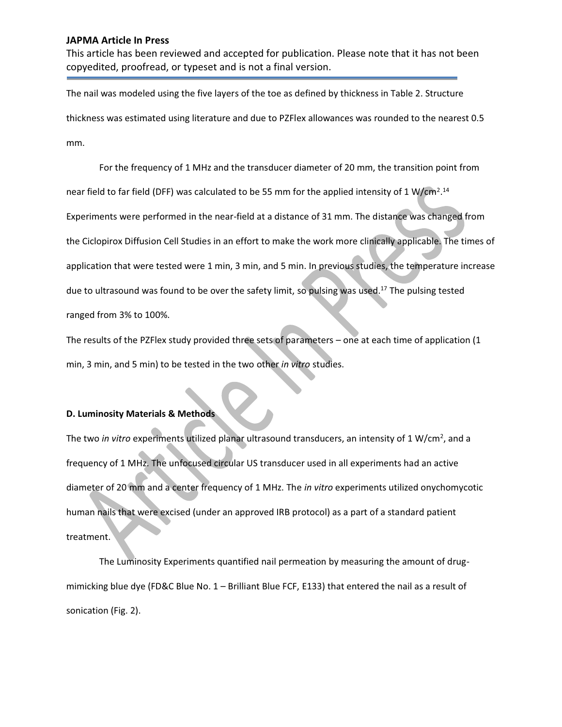This article has been reviewed and accepted for publication. Please note that it has not been copyedited, proofread, or typeset and is not a final version.

The nail was modeled using the five layers of the toe as defined by thickness in Table 2. Structure thickness was estimated using literature and due to PZFlex allowances was rounded to the nearest 0.5 mm.

For the frequency of 1 MHz and the transducer diameter of 20 mm, the transition point from near field to far field (DFF) was calculated to be 55 mm for the applied intensity of 1 W/cm<sup>2</sup>.<sup>14</sup> Experiments were performed in the near-field at a distance of 31 mm. The distance was changed from the Ciclopirox Diffusion Cell Studies in an effort to make the work more clinically applicable. The times of application that were tested were 1 min, 3 min, and 5 min. In previous studies, the temperature increase due to ultrasound was found to be over the safety limit, so pulsing was used.<sup>17</sup> The pulsing tested ranged from 3% to 100%.

The results of the PZFlex study provided three sets of parameters  $-$  one at each time of application (1 min, 3 min, and 5 min) to be tested in the two other *in vitro* studies.

#### **D. Luminosity Materials & Methods**

The two *in vitro* experiments utilized planar ultrasound transducers, an intensity of 1 W/cm2, and a frequency of 1 MHz. The unfocused circular US transducer used in all experiments had an active diameter of 20 mm and a center frequency of 1 MHz. The *in vitro* experiments utilized onychomycotic human nails that were excised (under an approved IRB protocol) as a part of a standard patient treatment.

The Luminosity Experiments quantified nail permeation by measuring the amount of drugmimicking blue dye (FD&C Blue No.  $1 -$  Brilliant Blue FCF, E133) that entered the nail as a result of sonication (Fig. 2).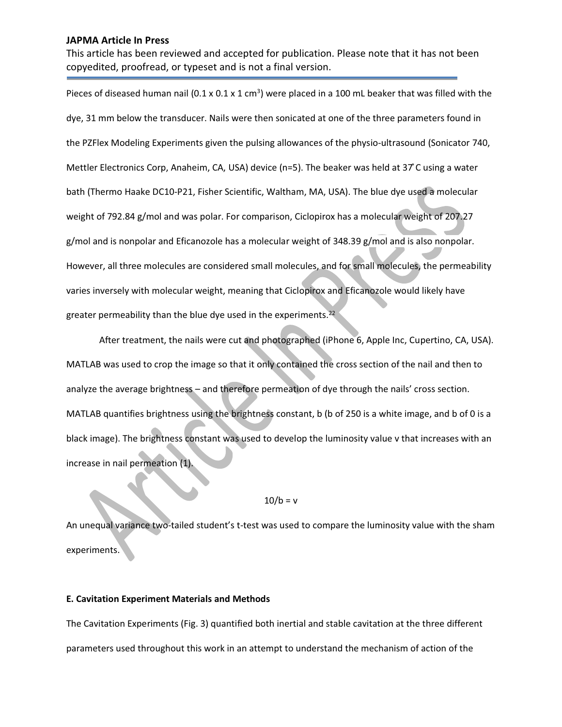This article has been reviewed and accepted for publication. Please note that it has not been copyedited, proofread, or typeset and is not a final version.

Pieces of diseased human nail (0.1 x 0.1 x 1 cm<sup>3</sup>) were placed in a 100 mL beaker that was filled with the dye, 31 mm below the transducer. Nails were then sonicated at one of the three parameters found in the PZFlex Modeling Experiments given the pulsing allowances of the physio-ultrasound (Sonicator 740, Mettler Electronics Corp, Anaheim, CA, USA) device ( $n=5$ ). The beaker was held at 37°C using a water bath (Thermo Haake DC10-P21, Fisher Scientific, Waltham, MA, USA). The blue dye used a molecular weight of 792.84 g/mol and was polar. For comparison, Ciclopirox has a molecular weight of 207.27 g/mol and is nonpolar and Eficanozole has a molecular weight of 348.39 g/mol and is also nonpolar. However, all three molecules are considered small molecules, and for small molecules, the permeability varies inversely with molecular weight, meaning that Ciclopirox and Eficanozole would likely have greater permeability than the blue dye used in the experiments.<sup>22</sup>

After treatment, the nails were cut and photographed (iPhone 6, Apple Inc, Cupertino, CA, USA). MATLAB was used to crop the image so that it only contained the cross section of the nail and then to analyze the average brightness - and therefore permeation of dye through the nails' cross section. MATLAB quantifies brightness using the brightness constant, b (b of 250 is a white image, and b of 0 is a black image). The brightness constant was used to develop the luminosity value v that increases with an increase in nail permeation (1

## $10/b = v$

An unequal variance two-tailed student's t-test was used to compare the luminosity value with the sham experiments.

#### **E. Cavitation Experiment Materials and Methods**

The Cavitation Experiments (Fig. 3) quantified both inertial and stable cavitation at the three different parameters used throughout this work in an attempt to understand the mechanism of action of the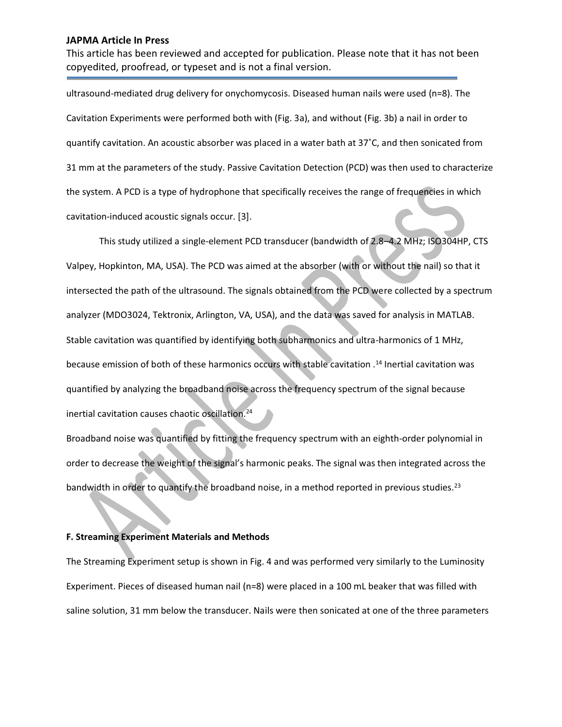This article has been reviewed and accepted for publication. Please note that it has not been copyedited, proofread, or typeset and is not a final version.

ultrasound-mediated drug delivery for onychomycosis. Diseased human nails were used (n=8). The Cavitation Experiments were performed both with (Fig. 3a), and without (Fig. 3b) a nail in order to quantify cavitation. An acoustic absorber was placed in a water bath at  $37^{\circ}$ C, and then sonicated from 31 mm at the parameters of the study. Passive Cavitation Detection (PCD) was then used to characterize the system. A PCD is a type of hydrophone that specifically receives the range of frequencies in which cavitation-induced acoustic signals occur. [3].

This study utilized a single-element PCD transducer (bandwidth of 2.8-4.2 MHz; ISO304HP, CTS Valpey, Hopkinton, MA, USA). The PCD was aimed at the absorber (with or without the nail) so that it intersected the path of the ultrasound. The signals obtained from the PCD were collected by a spectrum analyzer (MDO3024, Tektronix, Arlington, VA, USA), and the data was saved for analysis in MATLAB. Stable cavitation was quantified by identifying both subharmonics and ultra-harmonics of 1 MHz, because emission of both of these harmonics occurs with stable cavitation .14 Inertial cavitation was quantified by analyzing the broadband noise across the frequency spectrum of the signal because inertial cavitation causes chaotic oscillation.24

Broadband noise was quantified by fitting the frequency spectrum with an eighth-order polynomial in order to decrease the weight of the signal's harmonic peaks. The signal was then integrated across the bandwidth in order to quantify the broadband noise, in a method reported in previous studies.<sup>23</sup>

#### **F. Streaming Experiment Materials and Methods**

The Streaming Experiment setup is shown in Fig. 4 and was performed very similarly to the Luminosity Experiment. Pieces of diseased human nail (n=8) were placed in a 100 mL beaker that was filled with saline solution, 31 mm below the transducer. Nails were then sonicated at one of the three parameters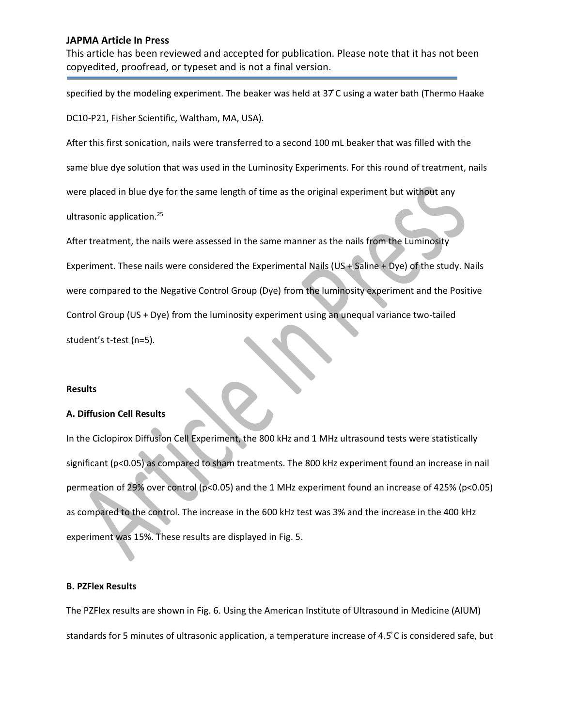This article has been reviewed and accepted for publication. Please note that it has not been copyedited, proofread, or typeset and is not a final version.

specified by the modeling experiment. The beaker was held at 37°C using a water bath (Thermo Haake

DC10-P21, Fisher Scientific, Waltham, MA, USA).

After this first sonication, nails were transferred to a second 100 mL beaker that was filled with the same blue dye solution that was used in the Luminosity Experiments. For this round of treatment, nails were placed in blue dye for the same length of time as the original experiment but without any ultrasonic application.25

After treatment, the nails were assessed in the same manner as the nails from the Luminosity Experiment. These nails were considered the Experimental Nails (US + Saline + Dye) of the study. Nails were compared to the Negative Control Group (Dye) from the luminosity experiment and the Positive Control Group (US + Dye) from the luminosity experiment using an unequal variance two-tailed student's t-test (n=5).

#### **Results**

#### **A. Diffusion Cell Results**

In the Ciclopirox Diffusion Cell Experiment, the 800 kHz and 1 MHz ultrasound tests were statistically significant (p<0.05) as compared to sham treatments. The 800 kHz experiment found an increase in nail permeation of 29% over control (p<0.05) and the 1 MHz experiment found an increase of 425% (p<0.05) as compared to the control. The increase in the 600 kHz test was 3% and the increase in the 400 kHz experiment was 15%. These results are displayed in Fig. 5.

#### **B. PZFlex Results**

The PZFlex results are shown in Fig. 6. Using the American Institute of Ultrasound in Medicine (AIUM) standards for 5 minutes of ultrasonic application, a temperature increase of 4.5°C is considered safe, but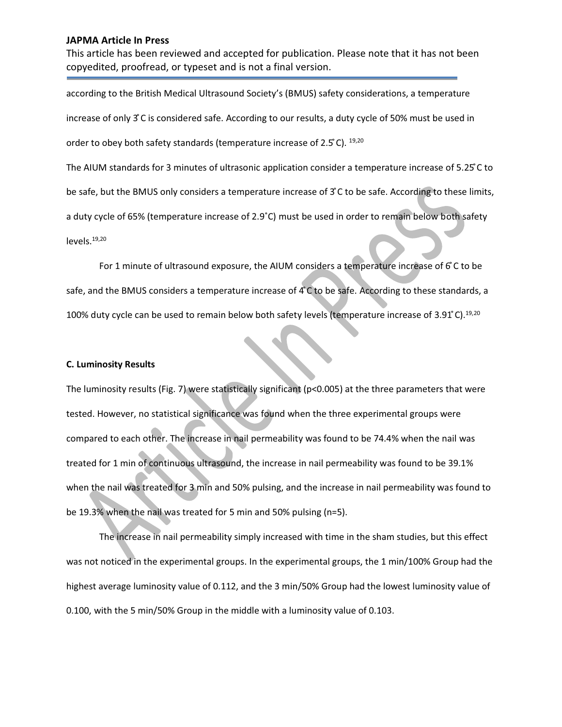This article has been reviewed and accepted for publication. Please note that it has not been copyedited, proofread, or typeset and is not a final version.

according to the British Medical Ultrasound Society's (BMUS) safety considerations, a temperature increase of only 3°C is considered safe. According to our results, a duty cycle of 50% must be used in order to obey both safety standards (temperature increase of 2.5°C). 19,20 The AIUM standards for 3 minutes of ultrasonic application consider a temperature increase of 5.25°C to be safe, but the BMUS only considers a temperature increase of 3°C to be safe. According to these limits, a duty cycle of 65% (temperature increase of 2.9°C) must be used in order to remain below both safety levels.19,20

For 1 minute of ultrasound exposure, the AIUM considers a temperature increase of  $6^\circ$ C to be safe, and the BMUS considers a temperature increase of 4°C to be safe. According to these standards, a 100% duty cycle can be used to remain below both safety levels (temperature increase of 3.91°C).<sup>19,20</sup>

### **C. Luminosity Results**

The luminosity results (Fig. 7) were statistically significant (p<0.005) at the three parameters that were tested. However, no statistical significance was found when the three experimental groups were compared to each other. The increase in nail permeability was found to be 74.4% when the nail was treated for 1 min of continuous ultrasound, the increase in nail permeability was found to be 39.1% when the nail was treated for 3 min and 50% pulsing, and the increase in nail permeability was found to be 19.3% when the nail was treated for 5 min and 50% pulsing (n=5).

The increase in nail permeability simply increased with time in the sham studies, but this effect was not noticed in the experimental groups. In the experimental groups, the 1 min/100% Group had the highest average luminosity value of 0.112, and the 3 min/50% Group had the lowest luminosity value of 0.100, with the 5 min/50% Group in the middle with a luminosity value of 0.103.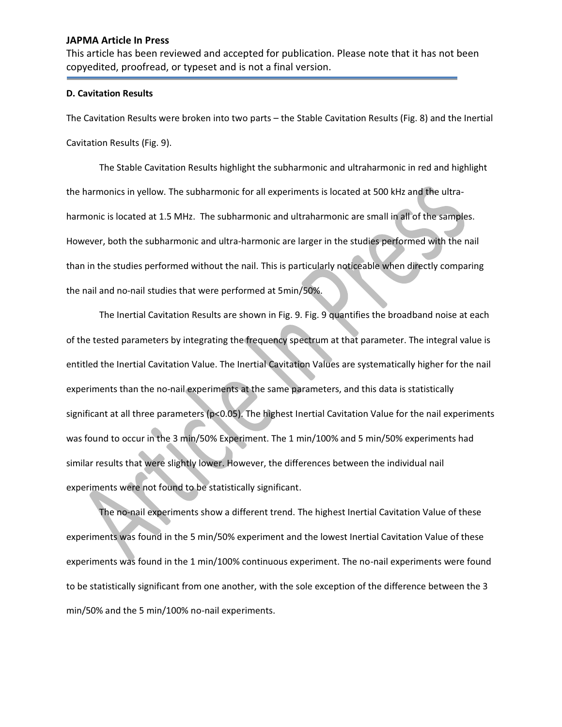This article has been reviewed and accepted for publication. Please note that it has not been copyedited, proofread, or typeset and is not a final version.

#### **D. Cavitation Results**

The Cavitation Results were broken into two parts – the Stable Cavitation Results (Fig. 8) and the Inertial Cavitation Results (Fig. 9).

The Stable Cavitation Results highlight the subharmonic and ultraharmonic in red and highlight the harmonics in yellow. The subharmonic for all experiments is located at 500 kHz and the ultraharmonic is located at 1.5 MHz. The subharmonic and ultraharmonic are small in all of the samples. However, both the subharmonic and ultra-harmonic are larger in the studies performed with the nail than in the studies performed without the nail. This is particularly noticeable when directly comparing the nail and no-nail studies that were performed at 5min/50%.

The Inertial Cavitation Results are shown in Fig. 9. Fig. 9 quantifies the broadband noise at each of the tested parameters by integrating the frequency spectrum at that parameter. The integral value is entitled the Inertial Cavitation Value. The Inertial Cavitation Values are systematically higher for the nail experiments than the no-nail experiments at the same parameters, and this data is statistically significant at all three parameters (p<0.05). The highest Inertial Cavitation Value for the nail experiments was found to occur in the 3 min/50% Experiment. The 1 min/100% and 5 min/50% experiments had similar results that were slightly lower. However, the differences between the individual nail experiments were not found to be statistically significant.

The no-nail experiments show a different trend. The highest Inertial Cavitation Value of these experiments was found in the 5 min/50% experiment and the lowest Inertial Cavitation Value of these experiments was found in the 1 min/100% continuous experiment. The no-nail experiments were found to be statistically significant from one another, with the sole exception of the difference between the 3 min/50% and the 5 min/100% no-nail experiments.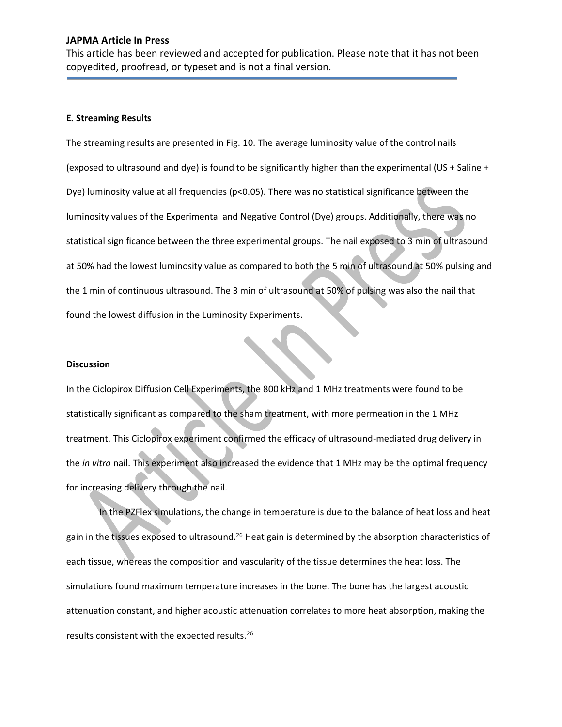This article has been reviewed and accepted for publication. Please note that it has not been copyedited, proofread, or typeset and is not a final version.

#### **E. Streaming Results**

The streaming results are presented in Fig. 10. The average luminosity value of the control nails (exposed to ultrasound and dye) is found to be significantly higher than the experimental (US + Saline + Dye) luminosity value at all frequencies (p<0.05). There was no statistical significance between the luminosity values of the Experimental and Negative Control (Dye) groups. Additionally, there was no statistical significance between the three experimental groups. The nail exposed to 3 min of ultrasound at 50% had the lowest luminosity value as compared to both the 5 min of ultrasound at 50% pulsing and the 1 min of continuous ultrasound. The 3 min of ultrasound at 50% of pulsing was also the nail that found the lowest diffusion in the Luminosity Experiments.

#### **Discussion**

In the Ciclopirox Diffusion Cell Experiments, the 800 kHz and 1 MHz treatments were found to be statistically significant as compared to the sham treatment, with more permeation in the 1 MHz treatment. This Ciclopirox experiment confirmed the efficacy of ultrasound-mediated drug delivery in the *in vitro* nail. This experiment also increased the evidence that 1 MHz may be the optimal frequency for increasing delivery through the nail.

In the PZFlex simulations, the change in temperature is due to the balance of heat loss and heat gain in the tissues exposed to ultrasound.<sup>26</sup> Heat gain is determined by the absorption characteristics of each tissue, whereas the composition and vascularity of the tissue determines the heat loss. The simulations found maximum temperature increases in the bone. The bone has the largest acoustic attenuation constant, and higher acoustic attenuation correlates to more heat absorption, making the results consistent with the expected results.26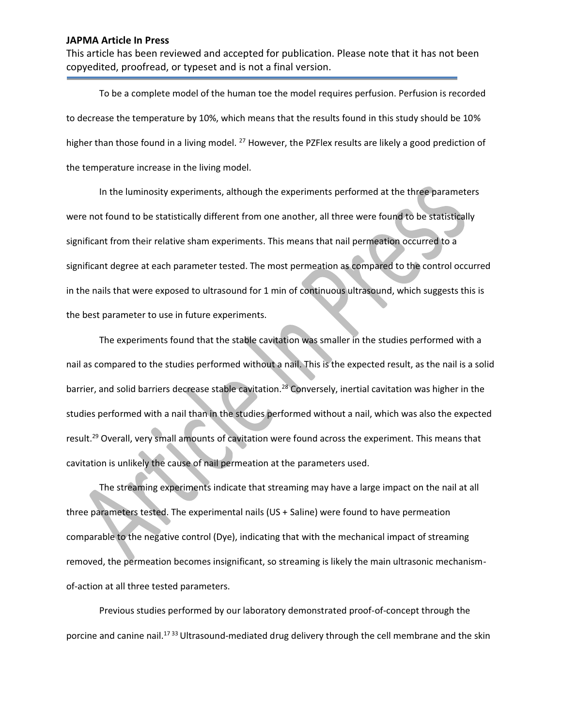This article has been reviewed and accepted for publication. Please note that it has not been copyedited, proofread, or typeset and is not a final version.

To be a complete model of the human toe the model requires perfusion. Perfusion is recorded to decrease the temperature by 10%, which means that the results found in this study should be 10% higher than those found in a living model. <sup>27</sup> However, the PZFlex results are likely a good prediction of the temperature increase in the living model.

In the luminosity experiments, although the experiments performed at the three parameters were not found to be statistically different from one another, all three were found to be statistically significant from their relative sham experiments. This means that nail permeation occurred to a significant degree at each parameter tested. The most permeation as compared to the control occurred in the nails that were exposed to ultrasound for 1 min of continuous ultrasound, which suggests this is the best parameter to use in future experiments.

The experiments found that the stable cavitation was smaller in the studies performed with a nail as compared to the studies performed without a nail. This is the expected result, as the nail is a solid barrier, and solid barriers decrease stable cavitation.<sup>28</sup> Conversely, inertial cavitation was higher in the studies performed with a nail than in the studies performed without a nail, which was also the expected result.29 Overall, very small amounts of cavitation were found across the experiment. This means that cavitation is unlikely the cause of nail permeation at the parameters used.

The streaming experiments indicate that streaming may have a large impact on the nail at all three parameters tested. The experimental nails (US + Saline) were found to have permeation comparable to the negative control (Dye), indicating that with the mechanical impact of streaming removed, the permeation becomes insignificant, so streaming is likely the main ultrasonic mechanismof-action at all three tested parameters.

Previous studies performed by our laboratory demonstrated proof-of-concept through the porcine and canine nail.<sup>1733</sup> Ultrasound-mediated drug delivery through the cell membrane and the skin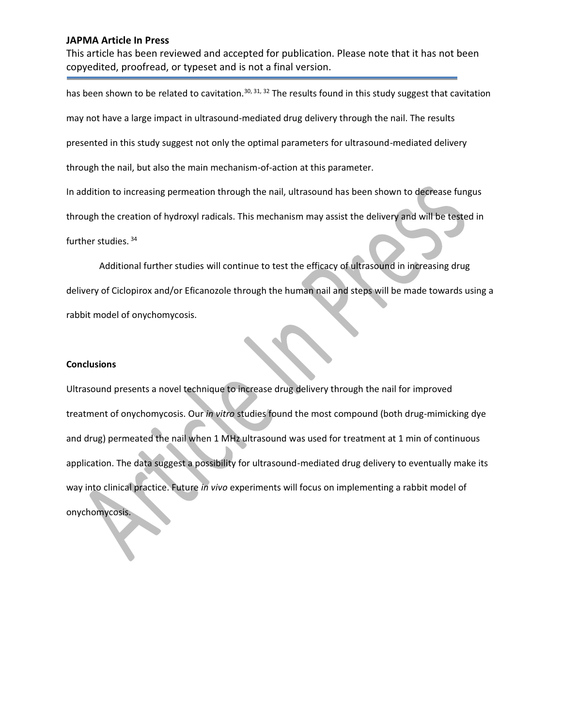This article has been reviewed and accepted for publication. Please note that it has not been copyedited, proofread, or typeset and is not a final version.

has been shown to be related to cavitation.<sup>30, 31, 32</sup> The results found in this study suggest that cavitation may not have a large impact in ultrasound-mediated drug delivery through the nail. The results presented in this study suggest not only the optimal parameters for ultrasound-mediated delivery through the nail, but also the main mechanism-of-action at this parameter. In addition to increasing permeation through the nail, ultrasound has been shown to decrease fungus through the creation of hydroxyl radicals. This mechanism may assist the delivery and will be tested in further studies. 34 Additional further studies will continue to test the efficacy of ultrasound in increasing drug

delivery of Ciclopirox and/or Eficanozole through the human nail and steps will be made towards using a rabbit model of onychomycosis.

#### **Conclusions**

Ultrasound presents a novel technique to increase drug delivery through the nail for improved treatment of onychomycosis. Our *in vitro* studies found the most compound (both drug-mimicking dye and drug) permeated the nail when 1 MHz ultrasound was used for treatment at 1 min of continuous application. The data suggest a possibility for ultrasound-mediated drug delivery to eventually make its way into clinical practice. Future *in vivo* experiments will focus on implementing a rabbit model of onychomycosis.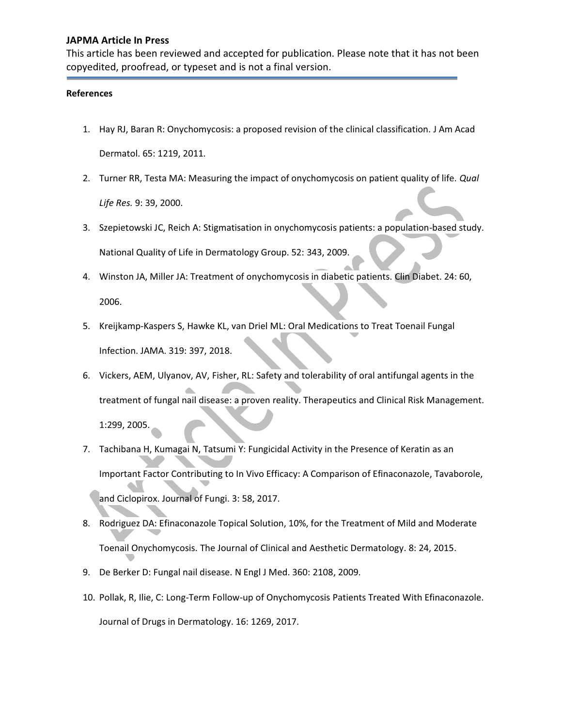This article has been reviewed and accepted for publication. Please note that it has not been copyedited, proofread, or typeset and is not a final version.

#### **References**

- 1. Hay RJ, Baran R: Onychomycosis: a proposed revision of the clinical classification. J Am Acad Dermatol. 65: 1219, 2011.
- 2. Turner RR, Testa MA: Measuring the impact of onychomycosis on patient quality of life. *Qual Life Res.* 9: 39, 2000.
- 3. Szepietowski JC, Reich A: Stigmatisation in onychomycosis patients: a population-based study. National Quality of Life in Dermatology Group. 52: 343, 2009.
- 4. Winston JA, Miller JA: Treatment of onychomycosis in diabetic patients. Clin Diabet. 24: 60, 2006.
- 5. Kreijkamp-Kaspers S, Hawke KL, van Driel ML: Oral Medications to Treat Toenail Fungal Infection. JAMA. 319: 397, 2018.
- 6. Vickers, AEM, Ulyanov, AV, Fisher, RL: Safety and tolerability of oral antifungal agents in the treatment of fungal nail disease: a proven reality. Therapeutics and Clinical Risk Management. 1:299, 2005.
- 7. Tachibana H, Kumagai N, Tatsumi Y: Fungicidal Activity in the Presence of Keratin as an Important Factor Contributing to In Vivo Efficacy: A Comparison of Efinaconazole, Tavaborole, and Ciclopirox. Journal of Fungi. 3: 58, 2017.
- 8. Rodriguez DA: Efinaconazole Topical Solution, 10%, for the Treatment of Mild and Moderate Toenail Onychomycosis. The Journal of Clinical and Aesthetic Dermatology. 8: 24, 2015.
- 9. De Berker D: Fungal nail disease. N Engl J Med. 360: 2108, 2009.
- 10. Pollak, R, Ilie, C: Long-Term Follow-up of Onychomycosis Patients Treated With Efinaconazole. Journal of Drugs in Dermatology. 16: 1269, 2017.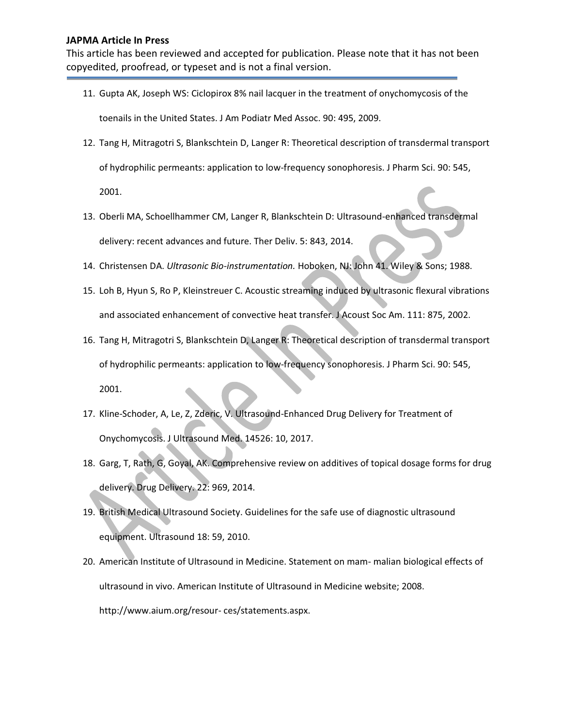This article has been reviewed and accepted for publication. Please note that it has not been copyedited, proofread, or typeset and is not a final version.

- 11. Gupta AK, Joseph WS: Ciclopirox 8% nail lacquer in the treatment of onychomycosis of the toenails in the United States. J Am Podiatr Med Assoc. 90: 495, 2009.
- 12. Tang H, Mitragotri S, Blankschtein D, Langer R: Theoretical description of transdermal transport of hydrophilic permeants: application to low-frequency sonophoresis. J Pharm Sci. 90: 545,

2001.

- 13. Oberli MA, Schoellhammer CM, Langer R, Blankschtein D: Ultrasound-enhanced transdermal delivery: recent advances and future. Ther Deliv. 5: 843, 2014.
- 14. Christensen DA. *Ultrasonic Bio-instrumentation.* Hoboken, NJ: John 41. Wiley & Sons; 1988.
- 15. Loh B, Hyun S, Ro P, Kleinstreuer C. Acoustic streaming induced by ultrasonic flexural vibrations and associated enhancement of convective heat transfer. J Acoust Soc Am. 111: 875, 2002.
- 16. Tang H, Mitragotri S, Blankschtein D, Langer R: Theoretical description of transdermal transport of hydrophilic permeants: application to low-frequency sonophoresis. J Pharm Sci. 90: 545, 2001.
- 17. Kline-Schoder, A, Le, Z, Zderic, V. Ultrasound-Enhanced Drug Delivery for Treatment of Onychomycosis. J Ultrasound Med. 14526: 10, 2017.
- 18. Garg, T, Rath, G, Goyal, AK. Comprehensive review on additives of topical dosage forms for drug delivery. Drug Delivery. 22: 969, 2014.
- 19. British Medical Ultrasound Society. Guidelines for the safe use of diagnostic ultrasound equipment. Ultrasound 18: 59, 2010.
- 20. American Institute of Ultrasound in Medicine. Statement on mam- malian biological effects of ultrasound in vivo. American Institute of Ultrasound in Medicine website; 2008. http://www.aium.org/resour- ces/statements.aspx.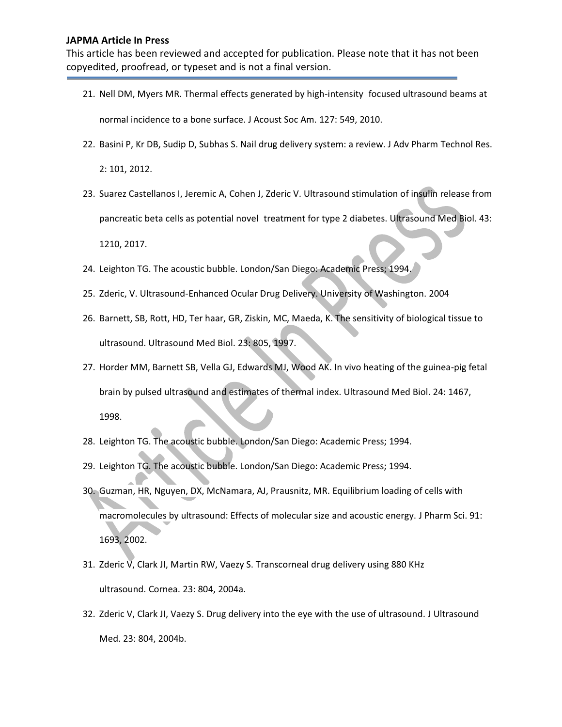This article has been reviewed and accepted for publication. Please note that it has not been copyedited, proofread, or typeset and is not a final version.

- 21. Nell DM, Myers MR. Thermal effects generated by high-intensity focused ultrasound beams at normal incidence to a bone surface. J Acoust Soc Am. 127: 549, 2010.
- 22. Basini P, Kr DB, Sudip D, Subhas S. Nail drug delivery system: a review. J Adv Pharm Technol Res.

2: 101, 2012.

- 23. Suarez Castellanos I, Jeremic A, Cohen J, Zderic V. Ultrasound stimulation of insulin release from pancreatic beta cells as potential novel treatment for type 2 diabetes. Ultrasound Med Biol. 43: 1210, 2017.
- 24. Leighton TG. The acoustic bubble. London/San Diego: Academic Press; 1994.
- 25. Zderic, V. Ultrasound-Enhanced Ocular Drug Delivery. University of Washington. 2004
- 26. Barnett, SB, Rott, HD, Ter haar, GR, Ziskin, MC, Maeda, K. The sensitivity of biological tissue to ultrasound. Ultrasound Med Biol. 23: 805, 1997.
- 27. Horder MM, Barnett SB, Vella GJ, Edwards MJ, Wood AK. In vivo heating of the guinea-pig fetal brain by pulsed ultrasound and estimates of thermal index. Ultrasound Med Biol. 24: 1467, 1998.
- 28. Leighton TG. The acoustic bubble. London/San Diego: Academic Press; 1994.
- 29. Leighton TG. The acoustic bubble. London/San Diego: Academic Press; 1994.
- 30. Guzman, HR, Nguyen, DX, McNamara, AJ, Prausnitz, MR. Equilibrium loading of cells with macromolecules by ultrasound: Effects of molecular size and acoustic energy. J Pharm Sci. 91: 1693, 2002.
- 31. Zderic V, Clark JI, Martin RW, Vaezy S. Transcorneal drug delivery using 880 KHz ultrasound. Cornea. 23: 804, 2004a.
- 32. Zderic V, Clark JI, Vaezy S. Drug delivery into the eye with the use of ultrasound. J Ultrasound Med. 23: 804, 2004b.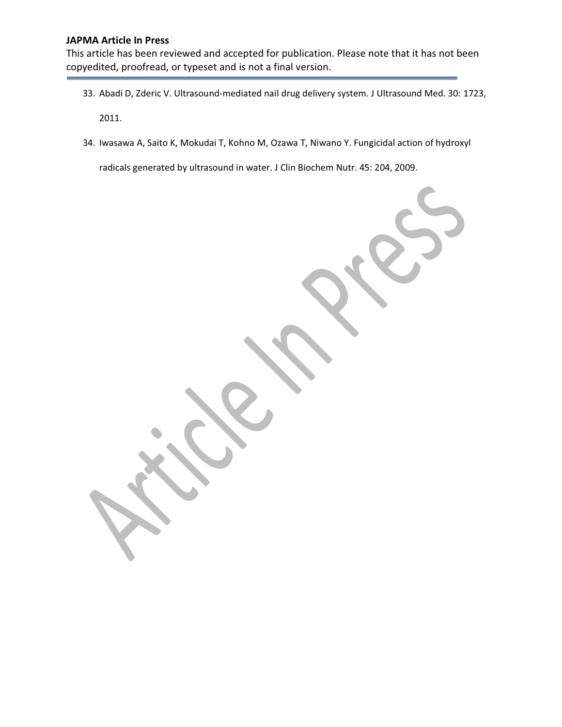This article has been reviewed and accepted for publication. Please note that it has not been copyedited, proofread, or typeset and is not a final version.

- 33. Abadi D, Zderic V. Ultrasound-mediated nail drug delivery system. J Ultrasound Med. 30: 1723, 2011.
- 34. Iwasawa A, Saito K, Mokudai T, Kohno M, Ozawa T, Niwano Y. Fungicidal action of hydroxyl

radicals generated by ultrasound in water. J Clin Biochem Nutr. 45: 204, 2009.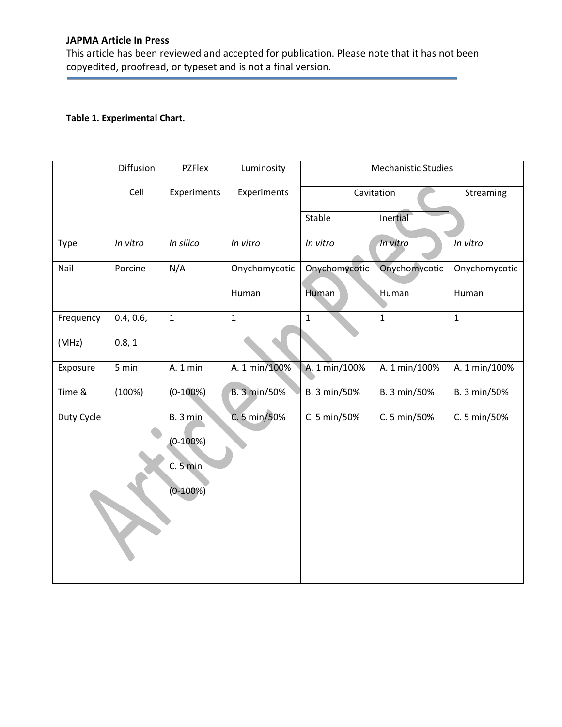This article has been reviewed and accepted for publication. Please note that it has not been copyedited, proofread, or typeset and is not a final version.

# **Table 1. Experimental Chart.**

|            | Diffusion | PZFlex       | Luminosity    | <b>Mechanistic Studies</b> |               |               |  |
|------------|-----------|--------------|---------------|----------------------------|---------------|---------------|--|
|            | Cell      | Experiments  | Experiments   | Cavitation                 |               | Streaming     |  |
|            |           |              |               | Stable                     | Inertial      |               |  |
| Type       | In vitro  | In silico    | In vitro      | In vitro                   | In vitro      | In vitro      |  |
| Nail       | Porcine   | N/A          | Onychomycotic | Onychomycotic              | Onychomycotic | Onychomycotic |  |
|            |           |              | Human         | Human                      | Human         | Human         |  |
| Frequency  | 0.4, 0.6, | $\mathbf{1}$ | $\mathbf{1}$  | $\mathbf{1}$               | $\mathbf{1}$  | $\mathbf{1}$  |  |
| (MHz)      | 0.8, 1    |              |               |                            |               |               |  |
| Exposure   | 5 min     | A. 1 min     | A. 1 min/100% | A. 1 min/100%              | A. 1 min/100% | A. 1 min/100% |  |
| Time &     | (100%)    | $(0-100%)$   | B. 3 min/50%  | B. 3 min/50%               | B. 3 min/50%  | B. 3 min/50%  |  |
| Duty Cycle |           | B.3 min      | C. 5 min/50%  | C. 5 min/50%               | C. 5 min/50%  | C. 5 min/50%  |  |
|            |           | $(0-100%)$   |               |                            |               |               |  |
|            |           | C. 5 min     |               |                            |               |               |  |
|            |           | $(0-100%)$   |               |                            |               |               |  |
|            |           |              |               |                            |               |               |  |
|            |           |              |               |                            |               |               |  |
|            |           |              |               |                            |               |               |  |
|            |           |              |               |                            |               |               |  |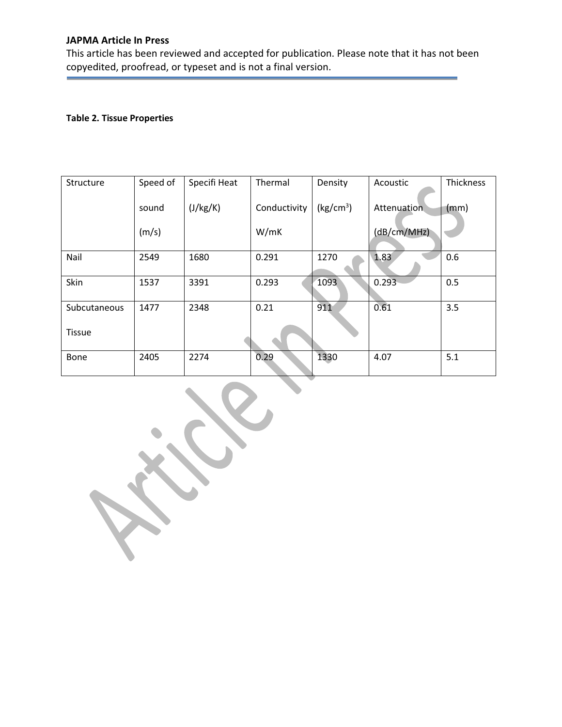This article has been reviewed and accepted for publication. Please note that it has not been copyedited, proofread, or typeset and is not a final version.

# **Table 2. Tissue Properties**

 $\lambda$ 

| <b>Structure</b> | Speed of | Specifi Heat | Thermal      | Density               | Acoustic    | Thickness |
|------------------|----------|--------------|--------------|-----------------------|-------------|-----------|
|                  | sound    | (J/kg/K)     | Conductivity | (kg/cm <sup>3</sup> ) | Attenuation | (mm)      |
|                  | (m/s)    |              | W/mK         |                       | (dB/cm/MHz) |           |
| Nail             | 2549     | 1680         | 0.291        | 1270                  | 1.83        | 0.6       |
| Skin             | 1537     | 3391         | 0.293        | 1093                  | 0.293       | 0.5       |
| Subcutaneous     | 1477     | 2348         | 0.21         | 911                   | 0.61        | 3.5       |
| <b>Tissue</b>    |          |              |              |                       |             |           |
| Bone             | 2405     | 2274         | 0.29         | 1330                  | 4.07        | 5.1       |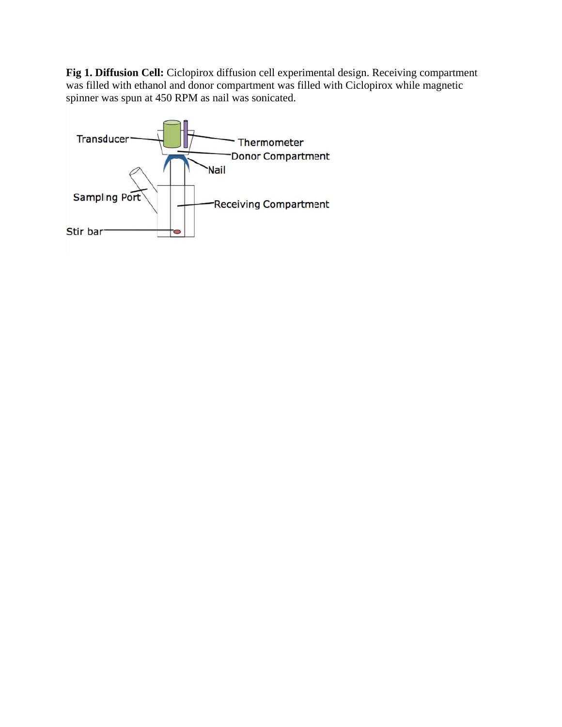Fig 1. Diffusion Cell: Ciclopirox diffusion cell experimental design. Receiving compartment was filled with ethanol and donor compartment was filled with Ciclopirox while magnetic spinner was spun at 450 RPM as nail was sonicated.

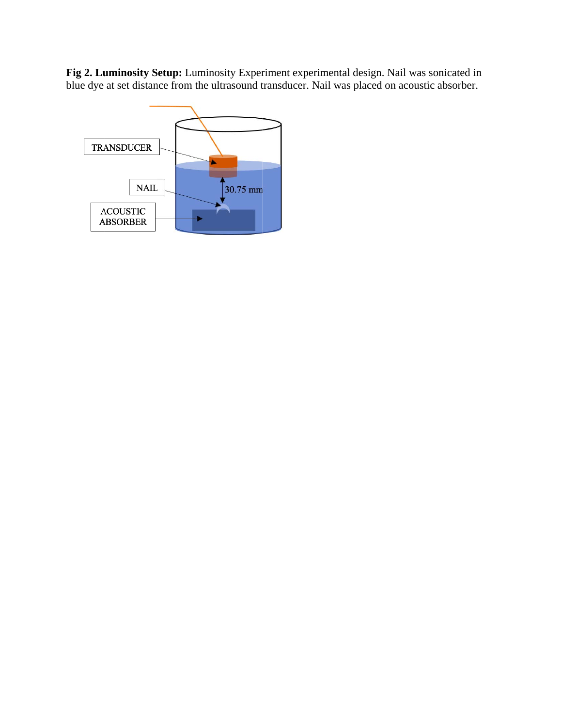Fig 2. Luminosity Setup: Luminosity Experiment experimental design. Nail was sonicated in blue dye at set distance from the ultrasound transducer. Nail was placed on acoustic absorber.

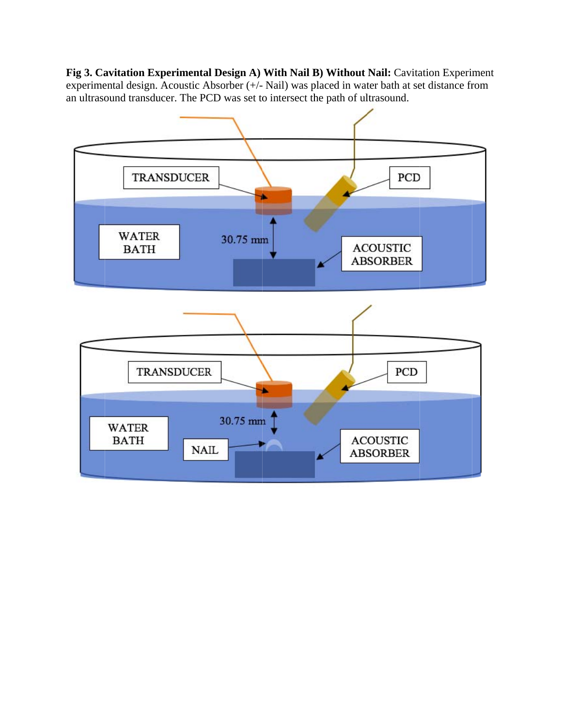Fig 3. Cavitation Experimental Design A) With Nail B) Without Nail: Cavitation Experiment experimental design. Acoustic Absorber (+/- Nail) was placed in water bath at set distance from an ultrasound transducer. The PCD was set to intersect the path of ultrasound.

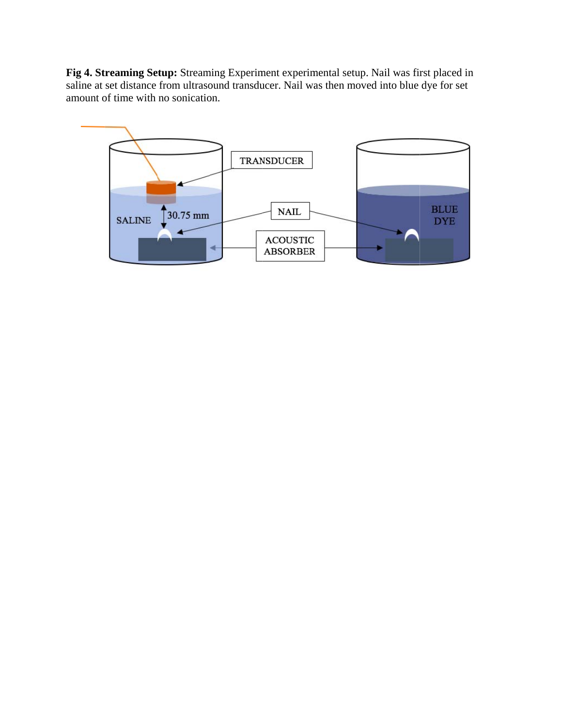Fig 4. Streaming Setup: Streaming Experiment experimental setup. Nail was first placed in saline at set distance from ultrasound transducer. Nail was then moved into blue dye for set amount of time with no sonication.

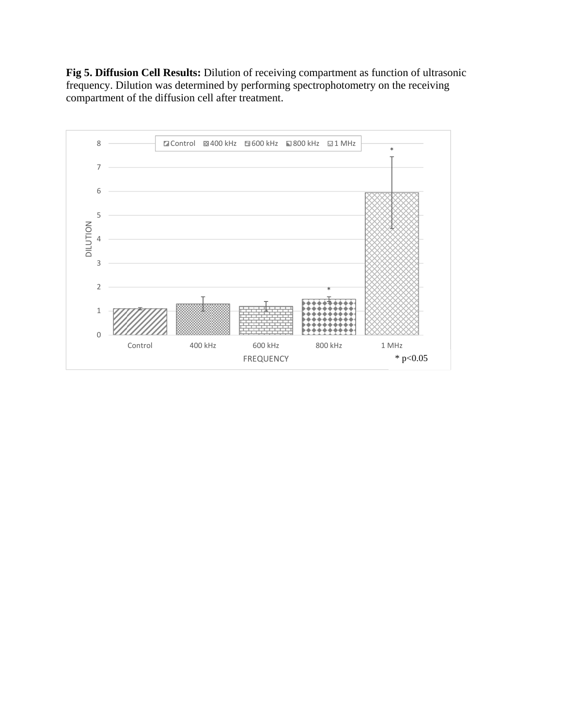**Fig 5. Diffusion Cell Results:** Dilution of receiving compartment as function of ultrasonic frequency. Dilution was determined by performing spectrophotometry on the receiving compartment of the diffusion cell after treatment.

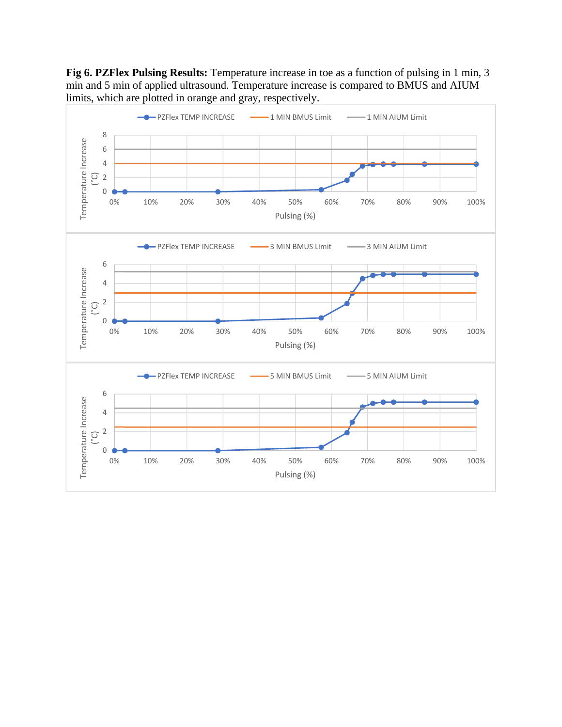**Fig 6. PZFlex Pulsing Results:** Temperature increase in toe as a function of pulsing in 1 min, 3 min and 5 min of applied ultrasound. Temperature increase is compared to BMUS and AIUM limits, which are plotted in orange and gray, respectively.

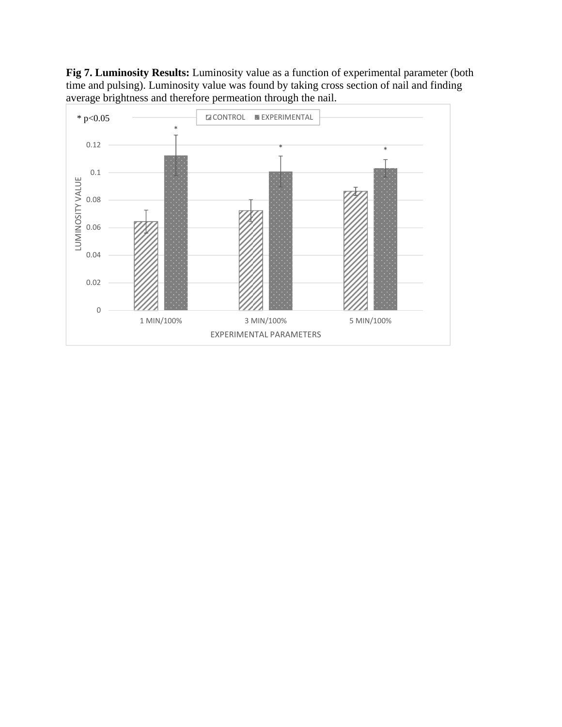**Fig 7. Luminosity Results:** Luminosity value as a function of experimental parameter (both time and pulsing). Luminosity value was found by taking cross section of nail and finding average brightness and therefore permeation through the nail.

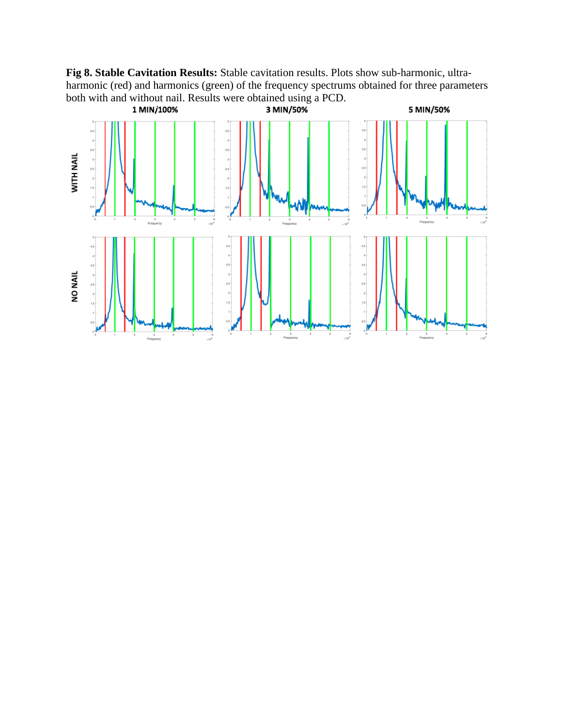Fig 8. Stable Cavitation Results: Stable cavitation results. Plots show sub-harmonic, ultraharmonic (red) and harmonics (green) of the frequency spectrums obtained for three parameters both with and without nail. Results were obtained using a PCD.

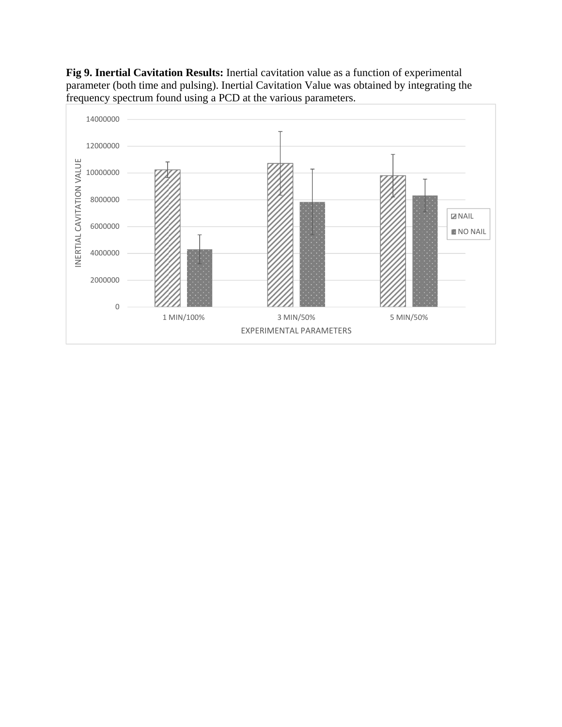**Fig 9. Inertial Cavitation Results:** Inertial cavitation value as a function of experimental parameter (both time and pulsing). Inertial Cavitation Value was obtained by integrating the frequency spectrum found using a PCD at the various parameters.